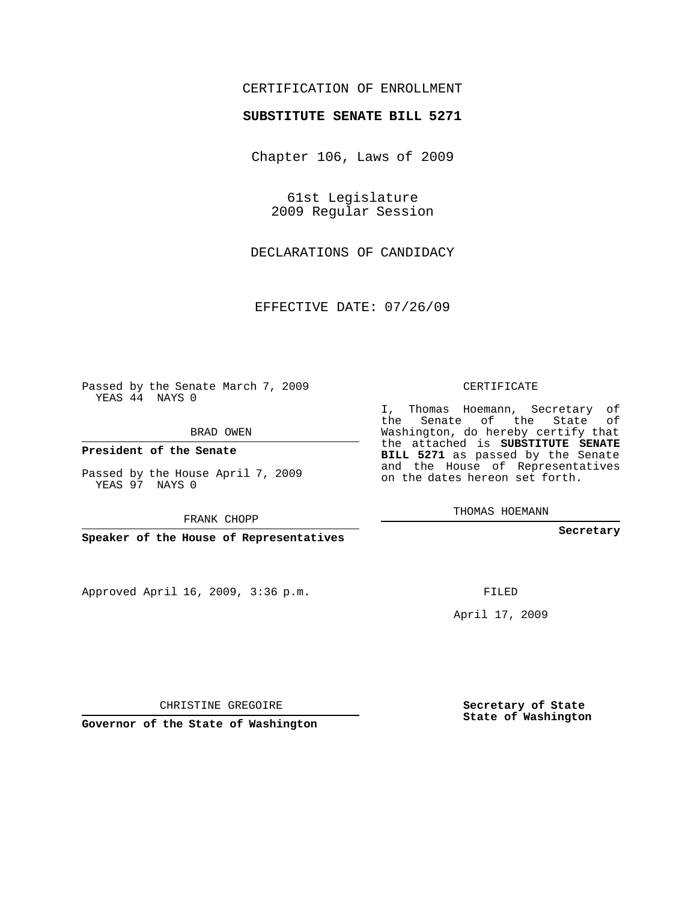## CERTIFICATION OF ENROLLMENT

## **SUBSTITUTE SENATE BILL 5271**

Chapter 106, Laws of 2009

61st Legislature 2009 Regular Session

DECLARATIONS OF CANDIDACY

EFFECTIVE DATE: 07/26/09

Passed by the Senate March 7, 2009 YEAS 44 NAYS 0

BRAD OWEN

**President of the Senate**

Passed by the House April 7, 2009 YEAS 97 NAYS 0

FRANK CHOPP

**Speaker of the House of Representatives**

Approved April 16, 2009, 3:36 p.m.

CERTIFICATE

I, Thomas Hoemann, Secretary of the Senate of the State of Washington, do hereby certify that the attached is **SUBSTITUTE SENATE BILL 5271** as passed by the Senate and the House of Representatives on the dates hereon set forth.

THOMAS HOEMANN

**Secretary**

FILED

April 17, 2009

**Secretary of State State of Washington**

CHRISTINE GREGOIRE

**Governor of the State of Washington**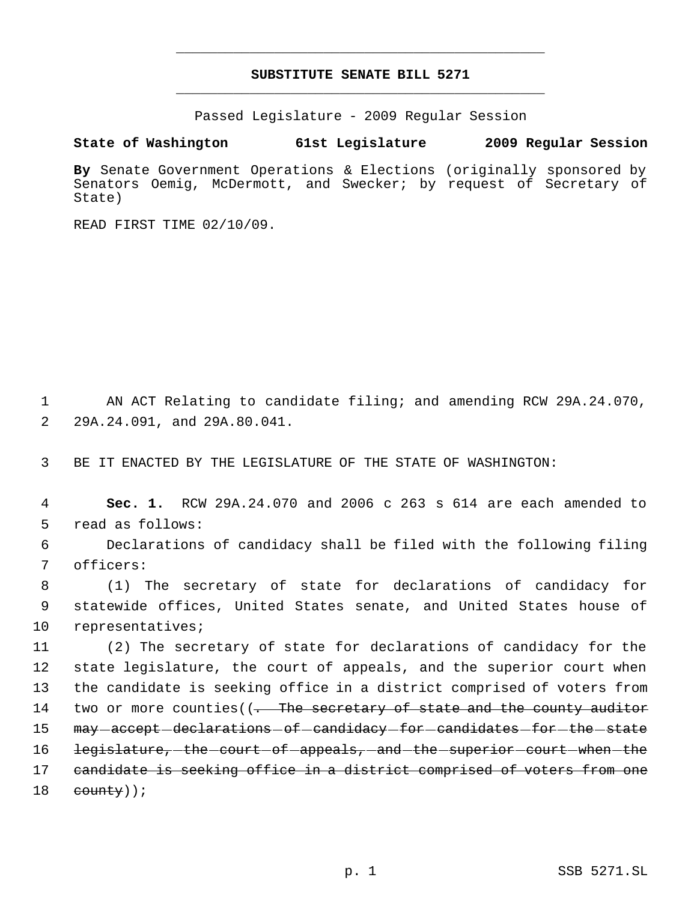## **SUBSTITUTE SENATE BILL 5271** \_\_\_\_\_\_\_\_\_\_\_\_\_\_\_\_\_\_\_\_\_\_\_\_\_\_\_\_\_\_\_\_\_\_\_\_\_\_\_\_\_\_\_\_\_

\_\_\_\_\_\_\_\_\_\_\_\_\_\_\_\_\_\_\_\_\_\_\_\_\_\_\_\_\_\_\_\_\_\_\_\_\_\_\_\_\_\_\_\_\_

Passed Legislature - 2009 Regular Session

**State of Washington 61st Legislature 2009 Regular Session**

**By** Senate Government Operations & Elections (originally sponsored by Senators Oemig, McDermott, and Swecker; by request of Secretary of State)

READ FIRST TIME 02/10/09.

 1 AN ACT Relating to candidate filing; and amending RCW 29A.24.070, 2 29A.24.091, and 29A.80.041.

3 BE IT ENACTED BY THE LEGISLATURE OF THE STATE OF WASHINGTON:

 4 **Sec. 1.** RCW 29A.24.070 and 2006 c 263 s 614 are each amended to 5 read as follows:

 6 Declarations of candidacy shall be filed with the following filing 7 officers:

 8 (1) The secretary of state for declarations of candidacy for 9 statewide offices, United States senate, and United States house of 10 representatives;

 (2) The secretary of state for declarations of candidacy for the state legislature, the court of appeals, and the superior court when the candidate is seeking office in a district comprised of voters from 14 two or more counties((<del>. The secretary of state and the county auditor</del> 15 may accept declarations of candidacy for candidates for the state 16 legislature, the court of appeals, and the superior court when the candidate is seeking office in a district comprised of voters from one county));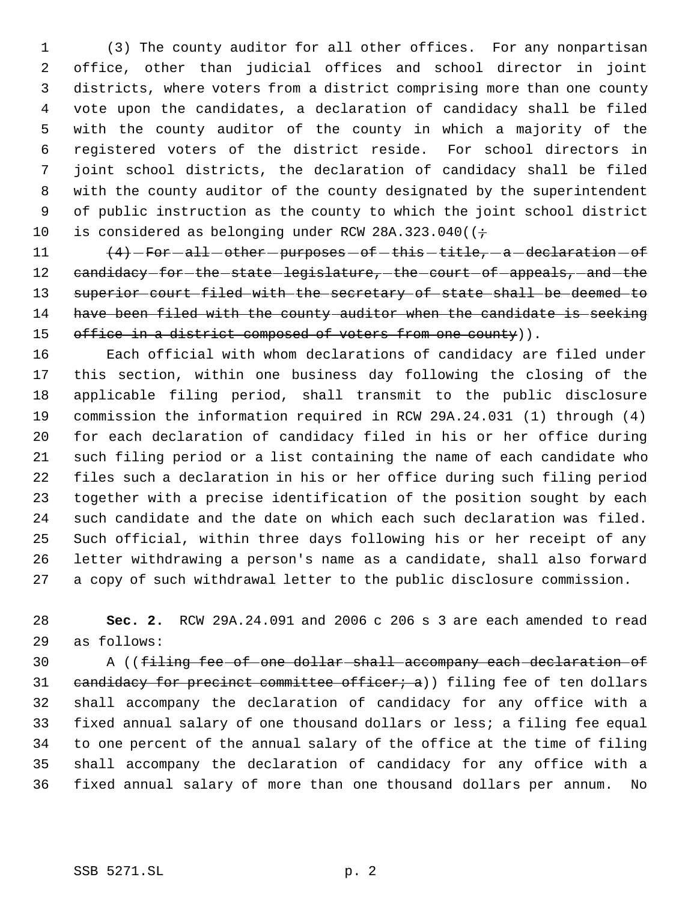(3) The county auditor for all other offices. For any nonpartisan office, other than judicial offices and school director in joint districts, where voters from a district comprising more than one county vote upon the candidates, a declaration of candidacy shall be filed with the county auditor of the county in which a majority of the registered voters of the district reside. For school directors in joint school districts, the declaration of candidacy shall be filed with the county auditor of the county designated by the superintendent of public instruction as the county to which the joint school district 10 is considered as belonging under RCW 28A.323.040( $(+$ 

11  $(4)$  -For  $-$ all  $-$  other  $-$  purposes  $-$  of  $-$  this  $-$  title,  $-$  a  $-$  declaration  $-$  of 12 candidacy-for-the-state-legislature, the court of appeals, and the superior court filed with the secretary of state shall be deemed to have been filed with the county auditor when the candidate is seeking 15 office in a district composed of voters from one county)).

 Each official with whom declarations of candidacy are filed under this section, within one business day following the closing of the applicable filing period, shall transmit to the public disclosure commission the information required in RCW 29A.24.031 (1) through (4) for each declaration of candidacy filed in his or her office during such filing period or a list containing the name of each candidate who files such a declaration in his or her office during such filing period together with a precise identification of the position sought by each such candidate and the date on which each such declaration was filed. Such official, within three days following his or her receipt of any letter withdrawing a person's name as a candidate, shall also forward a copy of such withdrawal letter to the public disclosure commission.

 **Sec. 2.** RCW 29A.24.091 and 2006 c 206 s 3 are each amended to read as follows:

 A ((filing fee of one dollar shall accompany each declaration of 31 candidacy for precinct committee officer; a)) filing fee of ten dollars shall accompany the declaration of candidacy for any office with a fixed annual salary of one thousand dollars or less; a filing fee equal to one percent of the annual salary of the office at the time of filing shall accompany the declaration of candidacy for any office with a fixed annual salary of more than one thousand dollars per annum. No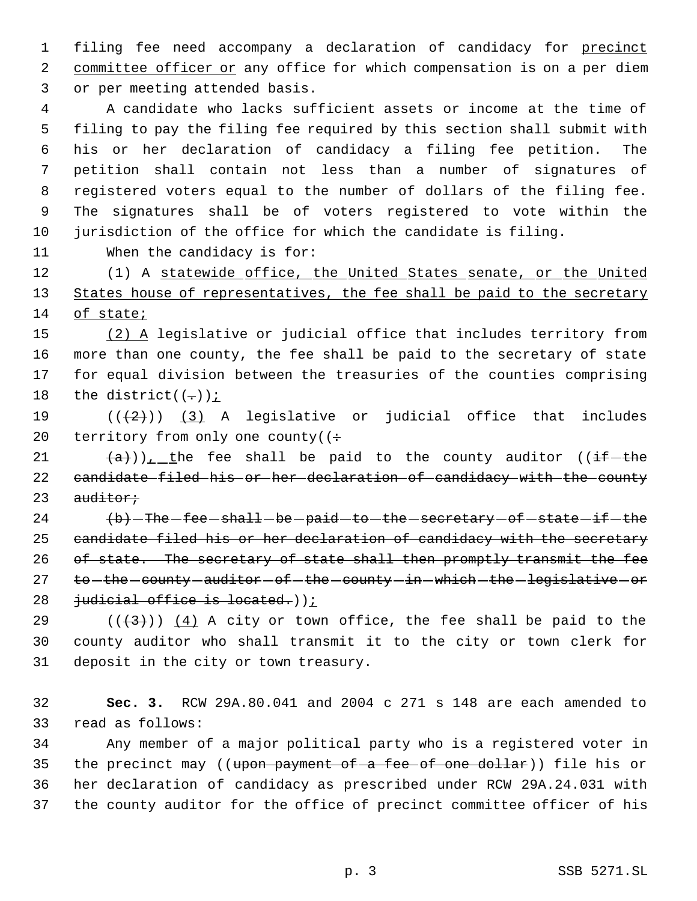filing fee need accompany a declaration of candidacy for precinct 2 committee officer or any office for which compensation is on a per diem or per meeting attended basis.

 A candidate who lacks sufficient assets or income at the time of filing to pay the filing fee required by this section shall submit with his or her declaration of candidacy a filing fee petition. The petition shall contain not less than a number of signatures of registered voters equal to the number of dollars of the filing fee. The signatures shall be of voters registered to vote within the jurisdiction of the office for which the candidate is filing.

When the candidacy is for:

 (1) A statewide office, the United States senate, or the United 13 States house of representatives, the fee shall be paid to the secretary of state;

15 (2) A legislative or judicial office that includes territory from more than one county, the fee shall be paid to the secretary of state for equal division between the treasuries of the counties comprising 18 the district( $(-)$ );

19  $((+2))$   $(3)$  A legislative or judicial office that includes 20 territory from only one county  $($  :

21  $(a)$ ), the fee shall be paid to the county auditor ((if the 22 candidate filed his or her declaration of candidacy with the county  $a$ uditor;

  $\text{+b}-\text{The -fee - shall - be - paid - to - the - secretary - of - state - if - the}$  candidate filed his or her declaration of candidacy with the secretary 26 of state. The secretary of state shall then promptly transmit the fee 27 to -the county - auditor - of -the - county - in - which - the - legislative - or 28 judicial office is located.));

29  $((+3))$   $(4)$  A city or town office, the fee shall be paid to the county auditor who shall transmit it to the city or town clerk for deposit in the city or town treasury.

 **Sec. 3.** RCW 29A.80.041 and 2004 c 271 s 148 are each amended to read as follows:

 Any member of a major political party who is a registered voter in 35 the precinct may ((upon payment of a fee of one dollar)) file his or her declaration of candidacy as prescribed under RCW 29A.24.031 with the county auditor for the office of precinct committee officer of his